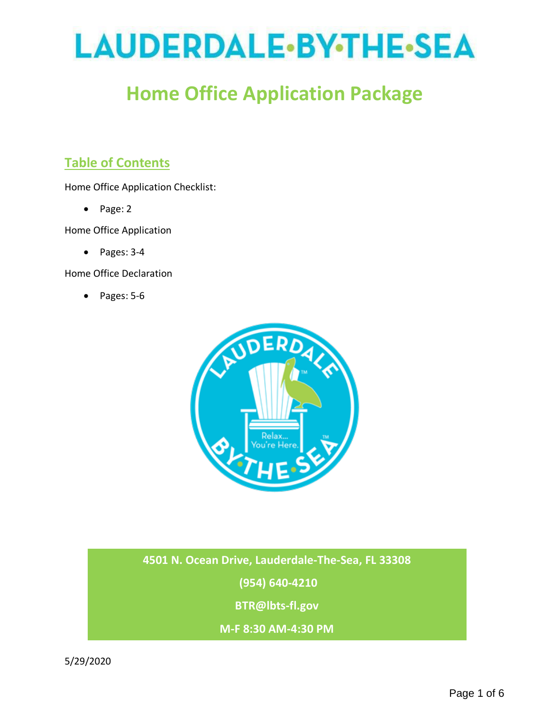# LAUDERDALE.BY.THE.SEA

# **Home Office Application Package**

# **Table of Contents**

Home Office Application Checklist:

• Page: 2

Home Office Application

• Pages: 3-4

Home Office Declaration

• Pages: 5-6



**4501 N. Ocean Drive, Lauderdale-The-Sea, FL 33308**

**(954) 640-4210**

**BTR@lbts-fl.gov**

**M-F 8:30 AM-4:30 PM**

5/29/2020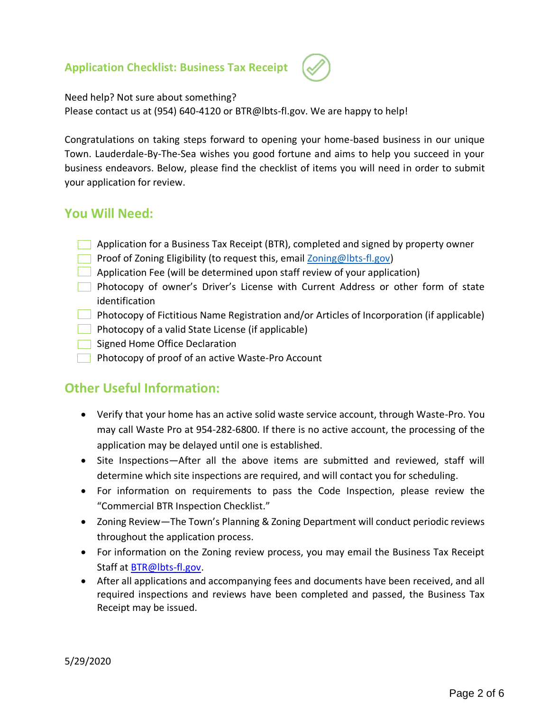#### **Application Checklist: Business Tax Receipt**



Need help? Not sure about something?

Please contact us at (954) 640-4120 or BTR@lbts-fl.gov. We are happy to help!

Congratulations on taking steps forward to opening your home-based business in our unique Town. Lauderdale-By-The-Sea wishes you good fortune and aims to help you succeed in your business endeavors. Below, please find the checklist of items you will need in order to submit your application for review.

#### **You Will Need:**

- **Application for a Business Tax Receipt (BTR), completed and signed by property owner**
- **Proof of Zoning Eligibility (to request this, email Zoning @lbts-fl.gov)**
- $\Box$  Application Fee (will be determined upon staff review of your application)
- **Photocopy of owner's Driver's License with Current Address or other form of state** identification
- **Photocopy of Fictitious Name Registration and/or Articles of Incorporation (if applicable)**
- **Photocopy of a valid State License (if applicable)**
- Signed Home Office Declaration
- **Photocopy of proof of an active Waste-Pro Account**

#### **Other Useful Information:**

- Verify that your home has an active solid waste service account, through Waste-Pro. You may call Waste Pro at 954-282-6800. If there is no active account, the processing of the application may be delayed until one is established.
- Site Inspections—After all the above items are submitted and reviewed, staff will determine which site inspections are required, and will contact you for scheduling.
- For information on requirements to pass the Code Inspection, please review the "Commercial BTR Inspection Checklist."
- Zoning Review—The Town's Planning & Zoning Department will conduct periodic reviews throughout the application process.
- For information on the Zoning review process, you may email the Business Tax Receipt Staff at **BTR@lbts-fl.gov.**
- After all applications and accompanying fees and documents have been received, and all required inspections and reviews have been completed and passed, the Business Tax Receipt may be issued.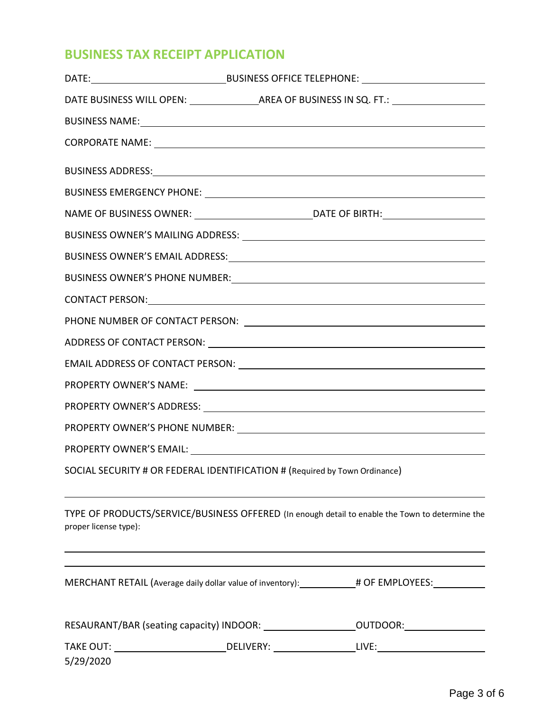## **BUSINESS TAX RECEIPT APPLICATION**

|                                                                            | BUSINESS OWNER'S EMAIL ADDRESS: University of the contract of the contract of the contract of the contract of the contract of the contract of the contract of the contract of the contract of the contract of the contract of |
|----------------------------------------------------------------------------|-------------------------------------------------------------------------------------------------------------------------------------------------------------------------------------------------------------------------------|
|                                                                            |                                                                                                                                                                                                                               |
|                                                                            | CONTACT PERSON: University of the CONTACT PERSON:                                                                                                                                                                             |
|                                                                            |                                                                                                                                                                                                                               |
|                                                                            |                                                                                                                                                                                                                               |
|                                                                            |                                                                                                                                                                                                                               |
|                                                                            |                                                                                                                                                                                                                               |
|                                                                            |                                                                                                                                                                                                                               |
|                                                                            |                                                                                                                                                                                                                               |
|                                                                            |                                                                                                                                                                                                                               |
| SOCIAL SECURITY # OR FEDERAL IDENTIFICATION # (Required by Town Ordinance) |                                                                                                                                                                                                                               |
| proper license type):                                                      | TYPE OF PRODUCTS/SERVICE/BUSINESS OFFERED (In enough detail to enable the Town to determine the                                                                                                                               |
|                                                                            | MERCHANT RETAIL (Average daily dollar value of inventory): __________# OF EMPLOYEES: ______________                                                                                                                           |
|                                                                            | RESAURANT/BAR (seating capacity) INDOOR: ______________________OUTDOOR: _______________                                                                                                                                       |
|                                                                            |                                                                                                                                                                                                                               |
| 5/29/2020                                                                  |                                                                                                                                                                                                                               |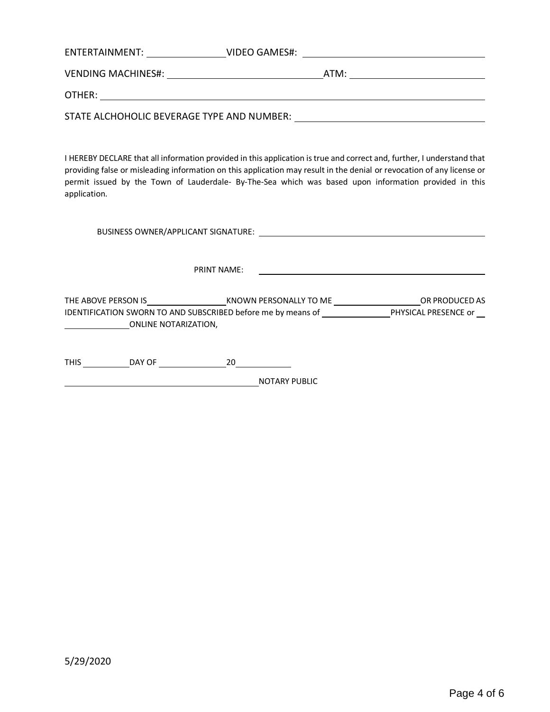| ENTERTAINMENT:<br>VIDEO GAMES#:            |      |
|--------------------------------------------|------|
| VENDING MACHINES#:                         | ATM: |
| OTHER:                                     |      |
| STATE ALCHOHOLIC BEVERAGE TYPE AND NUMBER: |      |

I HEREBY DECLARE that all information provided in this application is true and correct and, further, I understand that providing false or misleading information on this application may result in the denial or revocation of any license or permit issued by the Town of Lauderdale- By-The-Sea which was based upon information provided in this application.

BUSINESS OWNER/APPLICANT SIGNATURE:

PRINT NAME:

THE ABOVE PERSON IS KNOWN PERSONALLY TO ME CONSUMING A REPORT OR PRODUCED AS IDENTIFICATION SWORN TO AND SUBSCRIBED before me by means of **PHYSICAL PRESENCE** or ONLINE NOTARIZATION,

THIS DAY OF 20

NOTARY PUBLIC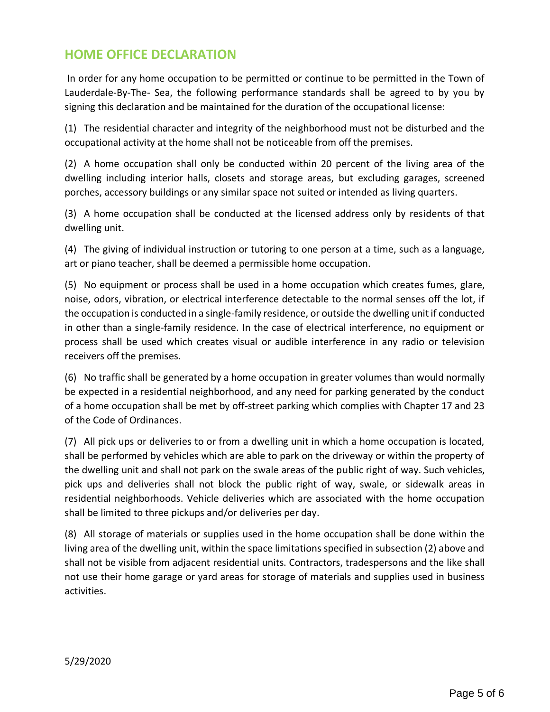### **HOME OFFICE DECLARATION**

In order for any home occupation to be permitted or continue to be permitted in the Town of Lauderdale-By-The- Sea, the following performance standards shall be agreed to by you by signing this declaration and be maintained for the duration of the occupational license:

(1) The residential character and integrity of the neighborhood must not be disturbed and the occupational activity at the home shall not be noticeable from off the premises.

(2) A home occupation shall only be conducted within 20 percent of the living area of the dwelling including interior halls, closets and storage areas, but excluding garages, screened porches, accessory buildings or any similar space not suited or intended as living quarters.

(3) A home occupation shall be conducted at the licensed address only by residents of that dwelling unit.

(4) The giving of individual instruction or tutoring to one person at a time, such as a language, art or piano teacher, shall be deemed a permissible home occupation.

(5) No equipment or process shall be used in a home occupation which creates fumes, glare, noise, odors, vibration, or electrical interference detectable to the normal senses off the lot, if the occupation is conducted in a single-family residence, or outside the dwelling unit if conducted in other than a single-family residence. In the case of electrical interference, no equipment or process shall be used which creates visual or audible interference in any radio or television receivers off the premises.

(6) No traffic shall be generated by a home occupation in greater volumes than would normally be expected in a residential neighborhood, and any need for parking generated by the conduct of a home occupation shall be met by off-street parking which complies with Chapter 17 and 23 of the Code of Ordinances.

(7) All pick ups or deliveries to or from a dwelling unit in which a home occupation is located, shall be performed by vehicles which are able to park on the driveway or within the property of the dwelling unit and shall not park on the swale areas of the public right of way. Such vehicles, pick ups and deliveries shall not block the public right of way, swale, or sidewalk areas in residential neighborhoods. Vehicle deliveries which are associated with the home occupation shall be limited to three pickups and/or deliveries per day.

(8) All storage of materials or supplies used in the home occupation shall be done within the living area of the dwelling unit, within the space limitations specified in subsection (2) above and shall not be visible from adjacent residential units. Contractors, tradespersons and the like shall not use their home garage or yard areas for storage of materials and supplies used in business activities.